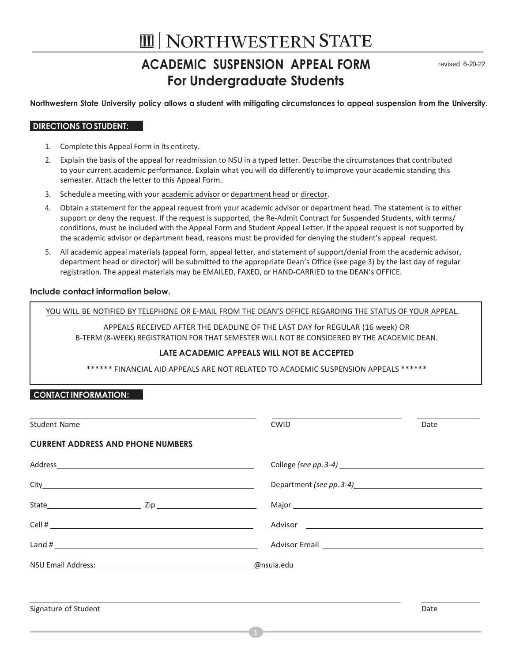# **III | NORTHWESTERN STATE**

## **ACADEMIC SUSPENSION APPEAL FORM For Undergraduate Students**

revised 6-20-22

Northwestern State University policy allows a student with mitigating circumstances to appeal suspension from the University.

### **DIRECTIONS TOSTUDENT:**

- 1. Complete this Appeal Form in its entirety.
- 2. Explain the basis of the appeal for readmission to NSU in a typed letter. Describe the circumstances that contributed to your current academic performance. Explain what you will do differently to improve your academic standing this semester. Attach the letter to this Appeal Form.
- 3. Schedule a meeting with your academic advisor or department head or director.
- 4. Obtain a statement for the appeal request from your academic advisor or department head. The statement is to either support or deny the request. If the request is supported, the Re-Admit Contract for Suspended Students, with terms/ conditions, must be included with the Appeal Form and Student Appeal Letter. If the appeal request is not supported by the academic advisor or department head, reasons must be provided for denying the student's appeal request.
- 5. All academic appeal materials (appeal form, appeal letter, and statement of support/denial from the academic advisor, department head or director) will be submitted to the appropriate Dean's Office (see page 3) by the last day of regular registration. The appeal materials may be EMAILED, FAXED, or HAND-CARRIED to the DEAN's OFFICE.

### **Include contact information below.**

YOU WILL BE NOTIFIED BY TELEPHONE OR E-MAIL FROM THE DEAN'S OFFICE REGARDING THE STATUS OF YOUR APPEAL.

APPEALS RECEIVED AFTER THE DEADLINE OF THE LAST DAY for REGULAR (16 week) OR B-TERM (8-WEEK) REGISTRATION FOR THAT SEMESTER WILL NOT BE CONSIDERED BY THE ACADEMIC DEAN.

### **LATE ACADEMIC APPEALS WILL NOT BE ACCEPTED**

\*\*\*\*\*\* FINANCIAL AID APPEALS ARE NOT RELATED TO ACADEMIC SUSPENSION APPEALS \*\*\*\*\*\*

### **CONTACT INFORMATION:**

| Student Name                             | <b>CWID</b> | Date |
|------------------------------------------|-------------|------|
| <b>CURRENT ADDRESS AND PHONE NUMBERS</b> |             |      |
|                                          |             |      |
|                                          |             |      |
|                                          |             |      |
|                                          |             |      |
|                                          |             |      |
| NSU Email Address: No. 1997 - No. 1998   | @nsula.edu  |      |
|                                          |             |      |
| Signature of Student                     |             | Date |
|                                          |             |      |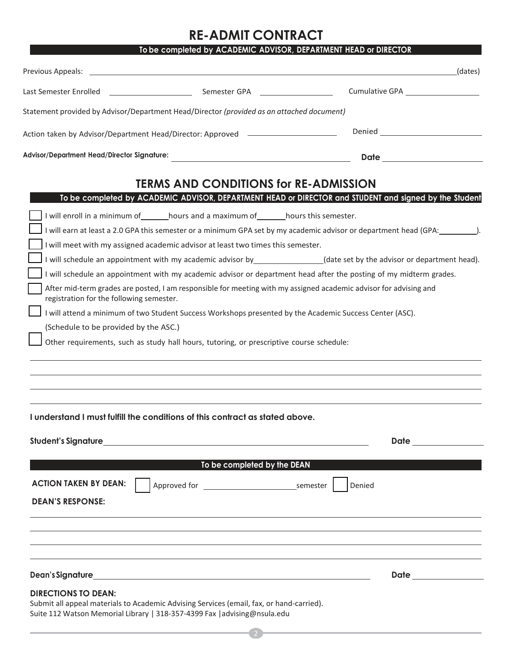## **RE-ADMIT CONTRACT**

|                                                                                                                                                               | To be completed by ACADEMIC ADVISOR, DEPARTMENT HEAD or DIRECTOR                                                                                                                                                              |
|---------------------------------------------------------------------------------------------------------------------------------------------------------------|-------------------------------------------------------------------------------------------------------------------------------------------------------------------------------------------------------------------------------|
|                                                                                                                                                               | (dates)                                                                                                                                                                                                                       |
| Last Semester Enrolled <u>entitled</u> and semester GPA and several entitled and semi-                                                                        |                                                                                                                                                                                                                               |
| Statement provided by Advisor/Department Head/Director (provided as an attached document)                                                                     |                                                                                                                                                                                                                               |
| Action taken by Advisor/Department Head/Director: Approved _____________________                                                                              |                                                                                                                                                                                                                               |
| Advisor/Department Head/Director Signature:                                                                                                                   |                                                                                                                                                                                                                               |
| <b>TERMS AND CONDITIONS for RE-ADMISSION</b>                                                                                                                  |                                                                                                                                                                                                                               |
| To be completed by ACADEMIC ADVISOR, DEPARTMENT HEAD or DIRECTOR and STUDENT and signed by the Student                                                        |                                                                                                                                                                                                                               |
| I will enroll in a minimum of _______hours and a maximum of _______hours this semester.                                                                       |                                                                                                                                                                                                                               |
| I will earn at least a 2.0 GPA this semester or a minimum GPA set by my academic advisor or department head (GPA: 1997).                                      |                                                                                                                                                                                                                               |
| I will meet with my assigned academic advisor at least two times this semester.                                                                               |                                                                                                                                                                                                                               |
| I will schedule an appointment with my academic advisor by <b>contained any contact example of the set</b> by the advisor or department head).                |                                                                                                                                                                                                                               |
| I will schedule an appointment with my academic advisor or department head after the posting of my midterm grades.                                            |                                                                                                                                                                                                                               |
| After mid-term grades are posted, I am responsible for meeting with my assigned academic advisor for advising and<br>registration for the following semester. |                                                                                                                                                                                                                               |
| I will attend a minimum of two Student Success Workshops presented by the Academic Success Center (ASC).                                                      |                                                                                                                                                                                                                               |
| (Schedule to be provided by the ASC.)                                                                                                                         |                                                                                                                                                                                                                               |
| Other requirements, such as study hall hours, tutoring, or prescriptive course schedule:                                                                      |                                                                                                                                                                                                                               |
|                                                                                                                                                               |                                                                                                                                                                                                                               |
|                                                                                                                                                               |                                                                                                                                                                                                                               |
|                                                                                                                                                               |                                                                                                                                                                                                                               |
|                                                                                                                                                               |                                                                                                                                                                                                                               |
| I understand I must fulfill the conditions of this contract as stated above.                                                                                  |                                                                                                                                                                                                                               |
|                                                                                                                                                               |                                                                                                                                                                                                                               |
|                                                                                                                                                               | Date that the contract of the contract of the contract of the contract of the contract of the contract of the contract of the contract of the contract of the contract of the contract of the contract of the contract of the |
|                                                                                                                                                               |                                                                                                                                                                                                                               |
| To be completed by the DEAN                                                                                                                                   |                                                                                                                                                                                                                               |
| <b>ACTION TAKEN BY DEAN:</b>                                                                                                                                  | Denied                                                                                                                                                                                                                        |
| <b>DEAN'S RESPONSE:</b>                                                                                                                                       |                                                                                                                                                                                                                               |
|                                                                                                                                                               |                                                                                                                                                                                                                               |
|                                                                                                                                                               |                                                                                                                                                                                                                               |
|                                                                                                                                                               |                                                                                                                                                                                                                               |
|                                                                                                                                                               |                                                                                                                                                                                                                               |
|                                                                                                                                                               |                                                                                                                                                                                                                               |
|                                                                                                                                                               |                                                                                                                                                                                                                               |

#### **DIRECTIONS TO DEAN:**

Submit all appeal materials to Academic Advising Services (email, fax, or hand-carried). Suite 112 Watson Memorial Library | 318-357-4399 Fax [|advising@nsula.edu](mailto:academicadvising@nsula.edu)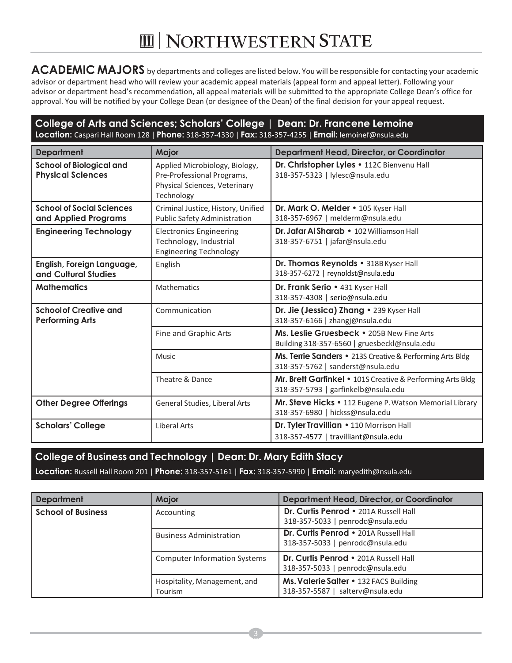# **III | NORTHWESTERN STATE**

**ACADEMIC MAJORS** by departments and colleges are listed below. You will be responsible for contacting your academic advisor or department head who will review your academic appeal materials (appeal form and appeal letter). Following your advisor or department head's recommendation, all appeal materials will be submitted to the appropriate College Dean's office for approval. You will be notified by your College Dean (or designee of the Dean) of the final decision for your appeal request.

### **College of Arts and Sciences; Scholars' College | Dean: Dr. Francene Lemoine Location:** Caspari Hall Room 128 | **Phone:** 318-357-4330 | **Fax:** 318-357-4255 | **Email:** [lemoinef@nsula.edu](mailto:lemoinef@nsula.edu)

| <b>Department</b>                                           | <b>Major</b>                                                                                                | <b>Department Head, Director, or Coordinator</b>                                                  |
|-------------------------------------------------------------|-------------------------------------------------------------------------------------------------------------|---------------------------------------------------------------------------------------------------|
| <b>School of Biological and</b><br><b>Physical Sciences</b> | Applied Microbiology, Biology,<br>Pre-Professional Programs,<br>Physical Sciences, Veterinary<br>Technology | Dr. Christopher Lyles . 112C Bienvenu Hall<br>318-357-5323   lylesc@nsula.edu                     |
| <b>School of Social Sciences</b><br>and Applied Programs    | Criminal Justice, History, Unified<br><b>Public Safety Administration</b>                                   | Dr. Mark O. Melder • 105 Kyser Hall<br>318-357-6967   melderm@nsula.edu                           |
| <b>Engineering Technology</b>                               | <b>Electronics Engineering</b><br>Technology, Industrial<br><b>Engineering Technology</b>                   | Dr. Jafar Al Sharab • 102 Williamson Hall<br>318-357-6751   jafar@nsula.edu                       |
| English, Foreign Language,<br>and Cultural Studies          | English                                                                                                     | Dr. Thomas Reynolds . 318B Kyser Hall<br>318-357-6272   reynoldst@nsula.edu                       |
| <b>Mathematics</b>                                          | <b>Mathematics</b>                                                                                          | Dr. Frank Serio • 431 Kyser Hall<br>318-357-4308   serio@nsula.edu                                |
| <b>Schoolof Creative and</b><br><b>Performing Arts</b>      | Communication                                                                                               | Dr. Jie (Jessica) Zhang · 239 Kyser Hall<br>318-357-6166   zhangj@nsula.edu                       |
|                                                             | Fine and Graphic Arts                                                                                       | Ms. Leslie Gruesbeck • 205B New Fine Arts<br>Building 318-357-6560   gruesbeckl@nsula.edu         |
|                                                             | Music                                                                                                       | Ms. Terrie Sanders • 213S Creative & Performing Arts Bldg<br>318-357-5762   sanderst@nsula.edu    |
|                                                             | Theatre & Dance                                                                                             | Mr. Brett Garfinkel • 101S Creative & Performing Arts Bldg<br>318-357-5793   garfinkelb@nsula.edu |
| <b>Other Degree Offerings</b>                               | General Studies, Liberal Arts                                                                               | Mr. Steve Hicks • 112 Eugene P. Watson Memorial Library<br>318-357-6980   hickss@nsula.edu        |
| <b>Scholars' College</b>                                    | <b>Liberal Arts</b>                                                                                         | Dr. Tyler Travillian . 110 Morrison Hall<br>318-357-4577   travilliant@nsula.edu                  |

**College of Business and Technology | Dean: Dr. Mary Edith Stacy Location:** Russell Hall Room 201 | **Phone:** 318-357-5161 | **Fax:** 318-357-5990 | **Email:** [maryedith@nsula.edu](mailto:maryedith@nsula.edu)

| <b>Department</b>         | <b>Major</b>                            | <b>Department Head, Director, or Coordinator</b>                           |
|---------------------------|-----------------------------------------|----------------------------------------------------------------------------|
| <b>School of Business</b> | Accounting                              | Dr. Curtis Penrod . 201A Russell Hall<br>318-357-5033   penrodc@nsula.edu  |
|                           | <b>Business Administration</b>          | Dr. Curtis Penrod . 201A Russell Hall<br>318-357-5033   penrodc@nsula.edu  |
|                           | <b>Computer Information Systems</b>     | Dr. Curtis Penrod . 201A Russell Hall<br>318-357-5033   penrodc@nsula.edu  |
|                           | Hospitality, Management, and<br>Tourism | Ms. Valerie Salter • 132 FACS Building<br>318-357-5587   salterv@nsula.edu |